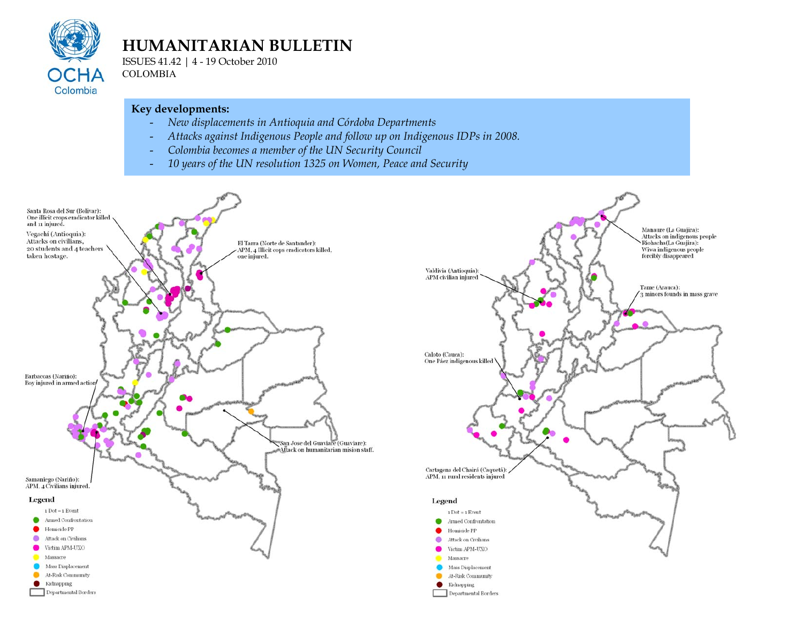

# **HUMANITARIAN BULLETIN**

ISSUES 41.42 | 4 - 19 October 2010 COLOMBIA

#### **Key developments:**

- *New displacements in Antioquia and Córdoba Departments*
- *Attacks against Indigenous People and follow up on Indigenous IDPs in 2008.*
- *Colombia becomes a member of the UN Security Council*
- *10 years of the UN resolution 1325 on Women, Peace and Security*

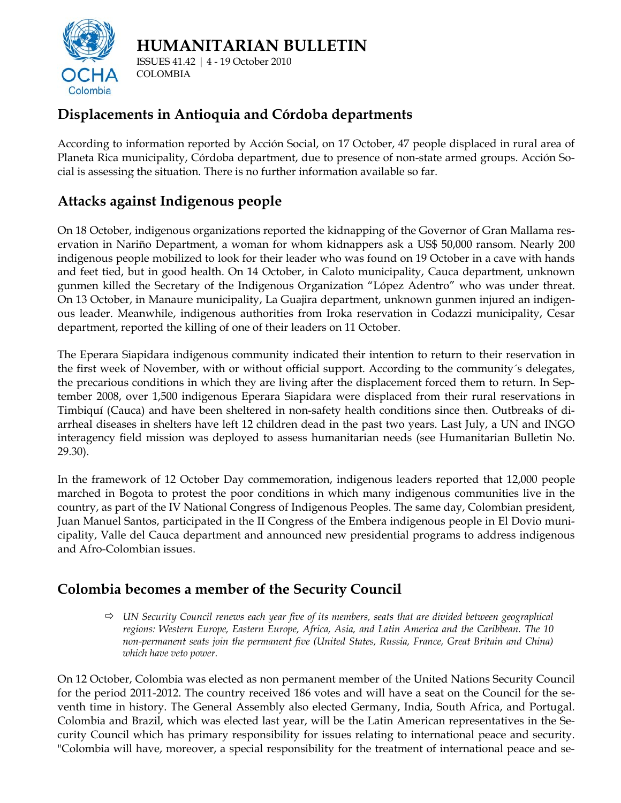



ISSUES 41.42 | 4 - 19 October 2010 COLOMBIA

## **Displacements in Antioquia and Córdoba departments**

According to information reported by Acción Social, on 17 October, 47 people displaced in rural area of Planeta Rica municipality, Córdoba department, due to presence of non-state armed groups. Acción Social is assessing the situation. There is no further information available so far.

### **Attacks against Indigenous people**

On 18 October, indigenous organizations reported the kidnapping of the Governor of Gran Mallama reservation in Nariño Department, a woman for whom kidnappers ask a US\$ 50,000 ransom. Nearly 200 indigenous people mobilized to look for their leader who was found on 19 October in a cave with hands and feet tied, but in good health. On 14 October, in Caloto municipality, Cauca department, unknown gunmen killed the Secretary of the Indigenous Organization "López Adentro" who was under threat. On 13 October, in Manaure municipality, La Guajira department, unknown gunmen injured an indigenous leader. Meanwhile, indigenous authorities from Iroka reservation in Codazzi municipality, Cesar department, reported the killing of one of their leaders on 11 October.

The Eperara Siapidara indigenous community indicated their intention to return to their reservation in the first week of November, with or without official support. According to the community´s delegates, the precarious conditions in which they are living after the displacement forced them to return. In September 2008, over 1,500 indigenous Eperara Siapidara were displaced from their rural reservations in Timbiquí (Cauca) and have been sheltered in non-safety health conditions since then. Outbreaks of diarrheal diseases in shelters have left 12 children dead in the past two years. Last July, a UN and INGO interagency field mission was deployed to assess humanitarian needs (see Humanitarian Bulletin No. 29.30).

In the framework of 12 October Day commemoration, indigenous leaders reported that 12,000 people marched in Bogota to protest the poor conditions in which many indigenous communities live in the country, as part of the IV National Congress of Indigenous Peoples. The same day, Colombian president, Juan Manuel Santos, participated in the II Congress of the Embera indigenous people in El Dovio municipality, Valle del Cauca department and announced new presidential programs to address indigenous and Afro-Colombian issues.

#### **Colombia becomes a member of the Security Council**

! *UN Security Council renews each year five of its members, seats that are divided between geographical regions: Western Europe, Eastern Europe, Africa, Asia, and Latin America and the Caribbean. The 10 non-permanent seats join the permanent five (United States, Russia, France, Great Britain and China) which have veto power.* 

On 12 October, Colombia was elected as non permanent member of the United Nations Security Council for the period 2011-2012. The country received 186 votes and will have a seat on the Council for the seventh time in history. The General Assembly also elected Germany, India, South Africa, and Portugal. Colombia and Brazil, which was elected last year, will be the Latin American representatives in the Security Council which has primary responsibility for issues relating to international peace and security. "Colombia will have, moreover, a special responsibility for the treatment of international peace and se-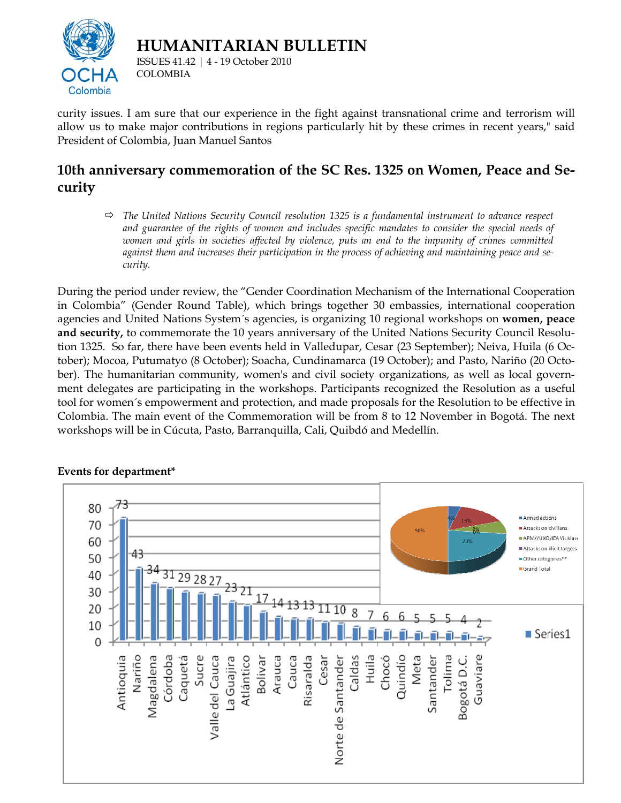

**HUMANITARIAN BULLETIN** 

ISSUES 41.42 | 4 - 19 October 2010 COLOMBIA

curity issues. I am sure that our experience in the fight against transnational crime and terrorism will allow us to make major contributions in regions particularly hit by these crimes in recent years," said President of Colombia, Juan Manuel Santos

#### **10th anniversary commemoration of the SC Res. 1325 on Women, Peace and Security**

! *The United Nations Security Council resolution 1325 is a fundamental instrument to advance respect and guarantee of the rights of women and includes specific mandates to consider the special needs of women and girls in societies affected by violence, puts an end to the impunity of crimes committed against them and increases their participation in the process of achieving and maintaining peace and security.* 

During the period under review, the "Gender Coordination Mechanism of the International Cooperation in Colombia" (Gender Round Table), which brings together 30 embassies, international cooperation agencies and United Nations System´s agencies, is organizing 10 regional workshops on **women, peace and security,** to commemorate the 10 years anniversary of the United Nations Security Council Resolution 1325. So far, there have been events held in Valledupar, Cesar (23 September); Neiva, Huila (6 October); Mocoa, Putumatyo (8 October); Soacha, Cundinamarca (19 October); and Pasto, Nariño (20 October). The humanitarian community, women's and civil society organizations, as well as local government delegates are participating in the workshops. Participants recognized the Resolution as a useful tool for women´s empowerment and protection, and made proposals for the Resolution to be effective in Colombia. The main event of the Commemoration will be from 8 to 12 November in Bogotá. The next workshops will be in Cúcuta, Pasto, Barranquilla, Cali, Quibdó and Medellín.



#### **Events for department\***